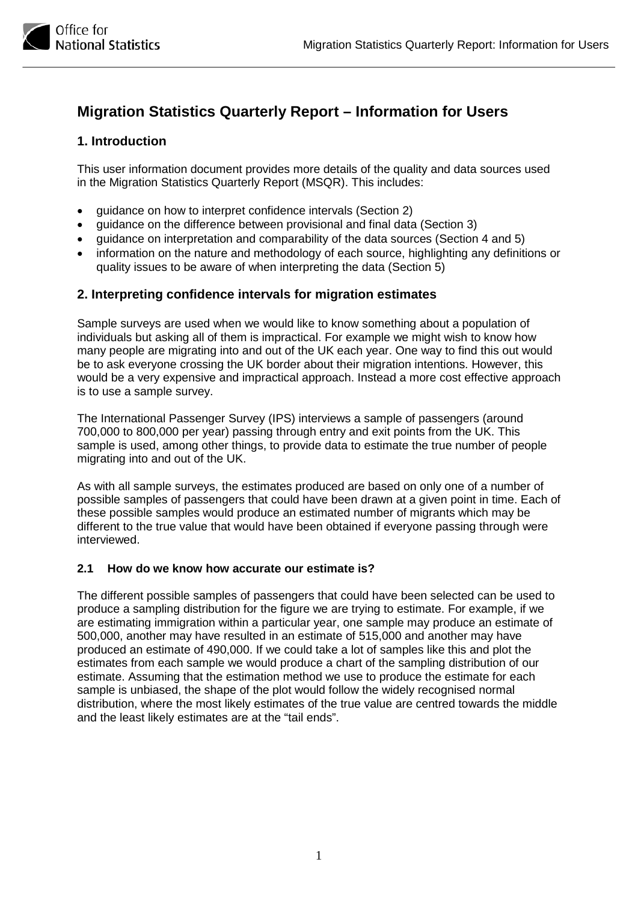

# **Migration Statistics Quarterly Report – Information for Users**

# **1. Introduction**

This user information document provides more details of the quality and data sources used in the Migration Statistics Quarterly Report (MSQR). This includes:

- guidance on how to interpret confidence intervals (Section 2)
- guidance on the difference between provisional and final data (Section 3)
- guidance on interpretation and comparability of the data sources (Section 4 and 5)
- information on the nature and methodology of each source, highlighting any definitions or quality issues to be aware of when interpreting the data (Section 5)

## **2. Interpreting confidence intervals for migration estimates**

Sample surveys are used when we would like to know something about a population of individuals but asking all of them is impractical. For example we might wish to know how many people are migrating into and out of the UK each year. One way to find this out would be to ask everyone crossing the UK border about their migration intentions. However, this would be a very expensive and impractical approach. Instead a more cost effective approach is to use a sample survey.

The International Passenger Survey (IPS) interviews a sample of passengers (around 700,000 to 800,000 per year) passing through entry and exit points from the UK. This sample is used, among other things, to provide data to estimate the true number of people migrating into and out of the UK.

As with all sample surveys, the estimates produced are based on only one of a number of possible samples of passengers that could have been drawn at a given point in time. Each of these possible samples would produce an estimated number of migrants which may be different to the true value that would have been obtained if everyone passing through were interviewed.

### **2.1 How do we know how accurate our estimate is?**

The different possible samples of passengers that could have been selected can be used to produce a sampling distribution for the figure we are trying to estimate. For example, if we are estimating immigration within a particular year, one sample may produce an estimate of 500,000, another may have resulted in an estimate of 515,000 and another may have produced an estimate of 490,000. If we could take a lot of samples like this and plot the estimates from each sample we would produce a chart of the sampling distribution of our estimate. Assuming that the estimation method we use to produce the estimate for each sample is unbiased, the shape of the plot would follow the widely recognised normal distribution, where the most likely estimates of the true value are centred towards the middle and the least likely estimates are at the "tail ends".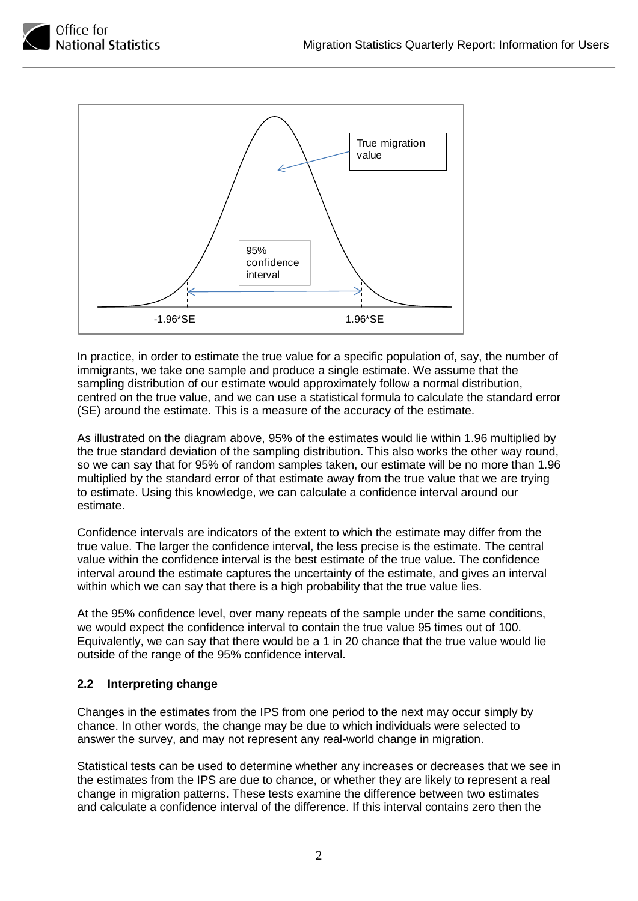



In practice, in order to estimate the true value for a specific population of, say, the number of immigrants, we take one sample and produce a single estimate. We assume that the sampling distribution of our estimate would approximately follow a normal distribution, centred on the true value, and we can use a statistical formula to calculate the standard error (SE) around the estimate. This is a measure of the accuracy of the estimate.

As illustrated on the diagram above, 95% of the estimates would lie within 1.96 multiplied by the true standard deviation of the sampling distribution. This also works the other way round, so we can say that for 95% of random samples taken, our estimate will be no more than 1.96 multiplied by the standard error of that estimate away from the true value that we are trying to estimate. Using this knowledge, we can calculate a confidence interval around our estimate.

Confidence intervals are indicators of the extent to which the estimate may differ from the true value. The larger the confidence interval, the less precise is the estimate. The central value within the confidence interval is the best estimate of the true value. The confidence interval around the estimate captures the uncertainty of the estimate, and gives an interval within which we can say that there is a high probability that the true value lies.

At the 95% confidence level, over many repeats of the sample under the same conditions, we would expect the confidence interval to contain the true value 95 times out of 100. Equivalently, we can say that there would be a 1 in 20 chance that the true value would lie outside of the range of the 95% confidence interval.

## **2.2 Interpreting change**

Changes in the estimates from the IPS from one period to the next may occur simply by chance. In other words, the change may be due to which individuals were selected to answer the survey, and may not represent any real-world change in migration.

Statistical tests can be used to determine whether any increases or decreases that we see in the estimates from the IPS are due to chance, or whether they are likely to represent a real change in migration patterns. These tests examine the difference between two estimates and calculate a confidence interval of the difference. If this interval contains zero then the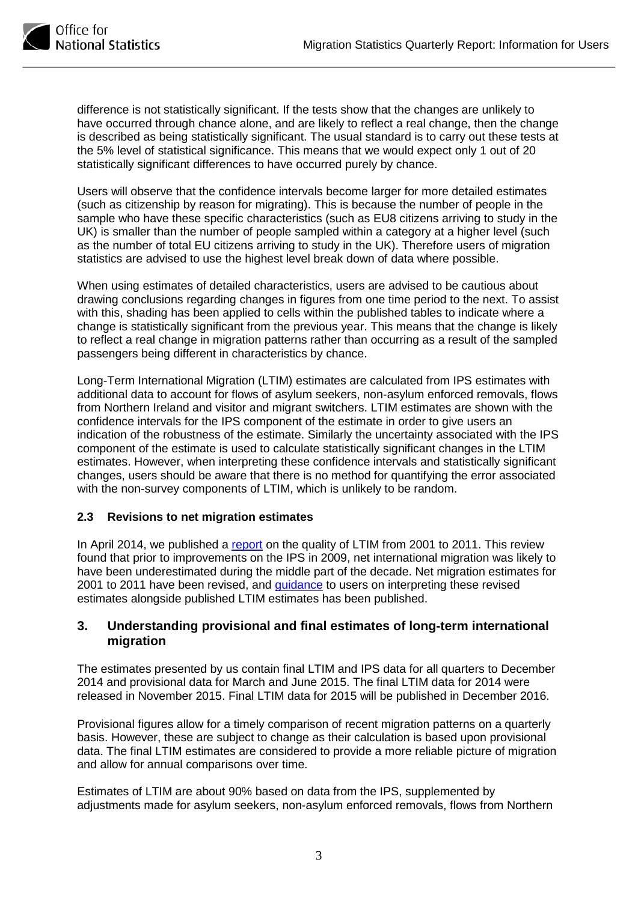

difference is not statistically significant. If the tests show that the changes are unlikely to have occurred through chance alone, and are likely to reflect a real change, then the change is described as being statistically significant. The usual standard is to carry out these tests at the 5% level of statistical significance. This means that we would expect only 1 out of 20 statistically significant differences to have occurred purely by chance.

Users will observe that the confidence intervals become larger for more detailed estimates (such as citizenship by reason for migrating). This is because the number of people in the sample who have these specific characteristics (such as EU8 citizens arriving to study in the UK) is smaller than the number of people sampled within a category at a higher level (such as the number of total EU citizens arriving to study in the UK). Therefore users of migration statistics are advised to use the highest level break down of data where possible.

When using estimates of detailed characteristics, users are advised to be cautious about drawing conclusions regarding changes in figures from one time period to the next. To assist with this, shading has been applied to cells within the published tables to indicate where a change is statistically significant from the previous year. This means that the change is likely to reflect a real change in migration patterns rather than occurring as a result of the sampled passengers being different in characteristics by chance.

Long-Term International Migration (LTIM) estimates are calculated from IPS estimates with additional data to account for flows of asylum seekers, non-asylum enforced removals, flows from Northern Ireland and visitor and migrant switchers. LTIM estimates are shown with the confidence intervals for the IPS component of the estimate in order to give users an indication of the robustness of the estimate. Similarly the uncertainty associated with the IPS component of the estimate is used to calculate statistically significant changes in the LTIM estimates. However, when interpreting these confidence intervals and statistically significant changes, users should be aware that there is no method for quantifying the error associated with the non-survey components of LTIM, which is unlikely to be random.

### **2.3 Revisions to net migration estimates**

In April 2014, we published a [report](http://www.ons.gov.uk/ons/rel/migration1/long-term-international-migration/quality-of-long-term-international-migration-estimates-from-2001-to-2011/sty-quality-of-ltim.html) on the quality of LTIM from 2001 to 2011. This review found that prior to improvements on the IPS in 2009, net international migration was likely to have been underestimated during the middle part of the decade. Net migration estimates for 2001 to 2011 have been revised, and [guidance](http://www.ons.gov.uk/ons/guide-method/method-quality/specific/population-and-migration/international-migration-methodology/guidance-note-for-net-international-migration-revisions.pdf) to users on interpreting these revised estimates alongside published LTIM estimates has been published.

## **3. Understanding provisional and final estimates of long-term international migration**

The estimates presented by us contain final LTIM and IPS data for all quarters to December 2014 and provisional data for March and June 2015. The final LTIM data for 2014 were released in November 2015. Final LTIM data for 2015 will be published in December 2016.

Provisional figures allow for a timely comparison of recent migration patterns on a quarterly basis. However, these are subject to change as their calculation is based upon provisional data. The final LTIM estimates are considered to provide a more reliable picture of migration and allow for annual comparisons over time.

Estimates of LTIM are about 90% based on data from the IPS, supplemented by adjustments made for asylum seekers, non-asylum enforced removals, flows from Northern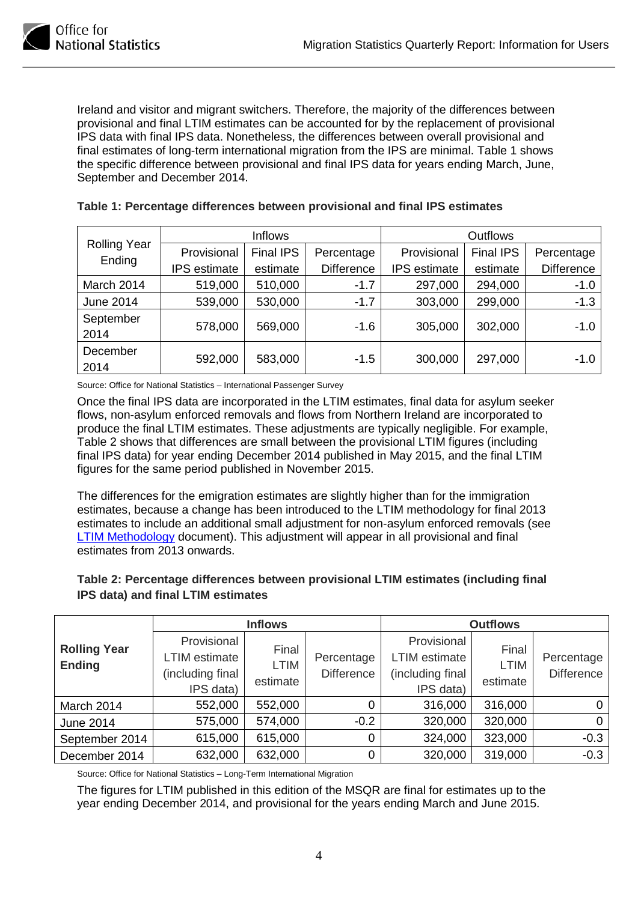

Ireland and visitor and migrant switchers. Therefore, the majority of the differences between provisional and final LTIM estimates can be accounted for by the replacement of provisional IPS data with final IPS data. Nonetheless, the differences between overall provisional and final estimates of long-term international migration from the IPS are minimal. Table 1 shows the specific difference between provisional and final IPS data for years ending March, June, September and December 2014.

|                     | Inflows             |                  | <b>Outflows</b>   |                     |                  |                   |
|---------------------|---------------------|------------------|-------------------|---------------------|------------------|-------------------|
| <b>Rolling Year</b> | Provisional         | <b>Final IPS</b> | Percentage        | Provisional         | <b>Final IPS</b> | Percentage        |
| Ending              | <b>IPS</b> estimate | estimate         | <b>Difference</b> | <b>IPS</b> estimate | estimate         | <b>Difference</b> |
| March 2014          | 519,000             | 510,000          | $-1.7$            | 297,000             | 294,000          | $-1.0$            |
| <b>June 2014</b>    | 539,000             | 530,000          | $-1.7$            | 303,000             | 299,000          | $-1.3$            |
| September<br>2014   | 578,000             | 569,000          | $-1.6$            | 305,000             | 302,000          | $-1.0$            |
| December<br>2014    | 592,000             | 583,000          | $-1.5$            | 300,000             | 297,000          | $-1.0$            |

### **Table 1: Percentage differences between provisional and final IPS estimates**

Source: Office for National Statistics – International Passenger Survey

Once the final IPS data are incorporated in the LTIM estimates, final data for asylum seeker flows, non-asylum enforced removals and flows from Northern Ireland are incorporated to produce the final LTIM estimates. These adjustments are typically negligible. For example, Table 2 shows that differences are small between the provisional LTIM figures (including final IPS data) for year ending December 2014 published in May 2015, and the final LTIM figures for the same period published in November 2015.

The differences for the emigration estimates are slightly higher than for the immigration estimates, because a change has been introduced to the LTIM methodology for final 2013 estimates to include an additional small adjustment for non-asylum enforced removals (see [LTIM Methodology](http://www.ons.gov.uk/ons/guide-method/method-quality/specific/population-and-migration/international-migration-methodology/long-term-international-migration-estimates-methodology.pdf) document). This adjustment will appear in all provisional and final estimates from 2013 onwards.

| Table 2: Percentage differences between provisional LTIM estimates (including final |
|-------------------------------------------------------------------------------------|
| IPS data) and final LTIM estimates                                                  |

|                                      |                                                               | <b>Inflows</b>                   |                                 |                                                                      | <b>Outflows</b>                  |                                 |
|--------------------------------------|---------------------------------------------------------------|----------------------------------|---------------------------------|----------------------------------------------------------------------|----------------------------------|---------------------------------|
| <b>Rolling Year</b><br><b>Ending</b> | Provisional<br>LTIM estimate<br>(including final<br>IPS data) | Final<br><b>LTIM</b><br>estimate | Percentage<br><b>Difference</b> | Provisional<br><b>LTIM</b> estimate<br>(including final<br>IPS data) | Final<br><b>LTIM</b><br>estimate | Percentage<br><b>Difference</b> |
| March 2014                           | 552,000                                                       | 552,000                          |                                 | 316,000                                                              | 316,000                          | 0                               |
| <b>June 2014</b>                     | 575,000                                                       | 574,000                          | $-0.2$                          | 320,000                                                              | 320,000                          | 0                               |
| September 2014                       | 615,000                                                       | 615,000                          | $\Omega$                        | 324,000                                                              | 323,000                          | $-0.3$                          |
| December 2014                        | 632,000                                                       | 632,000                          | $\Omega$                        | 320,000                                                              | 319,000                          | $-0.3$                          |

Source: Office for National Statistics – Long-Term International Migration

The figures for LTIM published in this edition of the MSQR are final for estimates up to the year ending December 2014, and provisional for the years ending March and June 2015.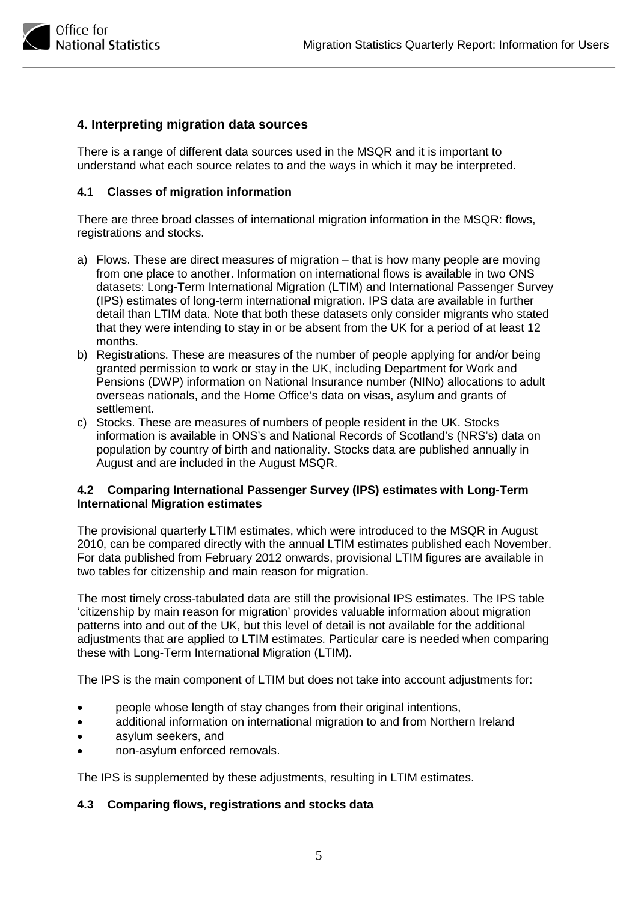

## **4. Interpreting migration data sources**

There is a range of different data sources used in the MSQR and it is important to understand what each source relates to and the ways in which it may be interpreted.

#### **4.1 Classes of migration information**

There are three broad classes of international migration information in the MSQR: flows, registrations and stocks.

- a) Flows. These are direct measures of migration that is how many people are moving from one place to another. Information on international flows is available in two ONS datasets: Long-Term International Migration (LTIM) and International Passenger Survey (IPS) estimates of long-term international migration. IPS data are available in further detail than LTIM data. Note that both these datasets only consider migrants who stated that they were intending to stay in or be absent from the UK for a period of at least 12 months.
- b) Registrations. These are measures of the number of people applying for and/or being granted permission to work or stay in the UK, including Department for Work and Pensions (DWP) information on National Insurance number (NINo) allocations to adult overseas nationals, and the Home Office's data on visas, asylum and grants of settlement.
- c) Stocks. These are measures of numbers of people resident in the UK. Stocks information is available in ONS's and National Records of Scotland's (NRS's) data on population by country of birth and nationality. Stocks data are published annually in August and are included in the August MSQR.

#### **4.2 Comparing International Passenger Survey (IPS) estimates with Long-Term International Migration estimates**

The provisional quarterly LTIM estimates, which were introduced to the MSQR in August 2010, can be compared directly with the annual LTIM estimates published each November. For data published from February 2012 onwards, provisional LTIM figures are available in two tables for citizenship and main reason for migration.

The most timely cross-tabulated data are still the provisional IPS estimates. The IPS table 'citizenship by main reason for migration' provides valuable information about migration patterns into and out of the UK, but this level of detail is not available for the additional adjustments that are applied to LTIM estimates. Particular care is needed when comparing these with Long-Term International Migration (LTIM).

The IPS is the main component of LTIM but does not take into account adjustments for:

- people whose length of stay changes from their original intentions,
- additional information on international migration to and from Northern Ireland
- asylum seekers, and
- non-asylum enforced removals.

The IPS is supplemented by these adjustments, resulting in LTIM estimates.

#### **4.3 Comparing flows, registrations and stocks data**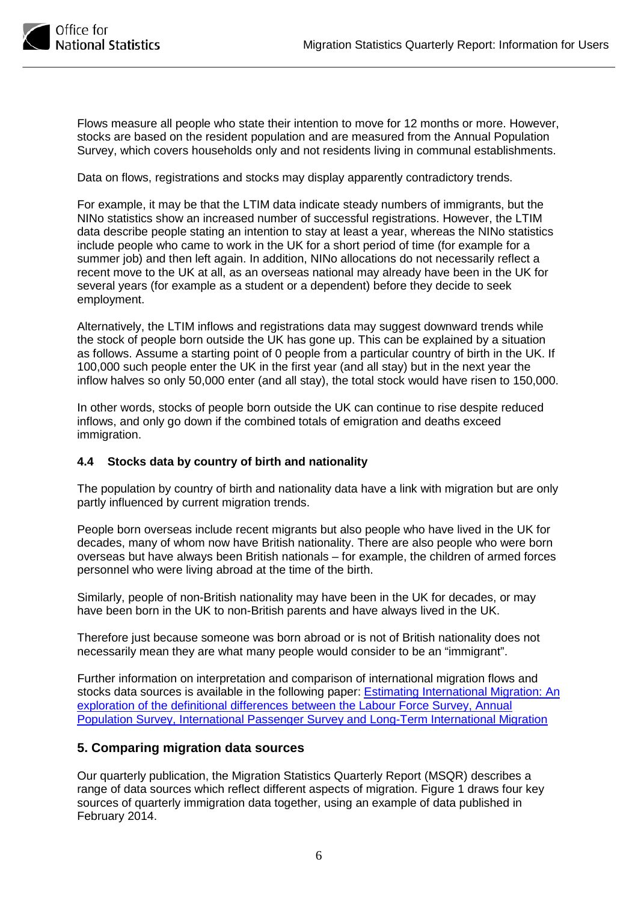

Flows measure all people who state their intention to move for 12 months or more. However, stocks are based on the resident population and are measured from the Annual Population Survey, which covers households only and not residents living in communal establishments.

Data on flows, registrations and stocks may display apparently contradictory trends.

For example, it may be that the LTIM data indicate steady numbers of immigrants, but the NINo statistics show an increased number of successful registrations. However, the LTIM data describe people stating an intention to stay at least a year, whereas the NINo statistics include people who came to work in the UK for a short period of time (for example for a summer job) and then left again. In addition, NINo allocations do not necessarily reflect a recent move to the UK at all, as an overseas national may already have been in the UK for several years (for example as a student or a dependent) before they decide to seek employment.

Alternatively, the LTIM inflows and registrations data may suggest downward trends while the stock of people born outside the UK has gone up. This can be explained by a situation as follows. Assume a starting point of 0 people from a particular country of birth in the UK. If 100,000 such people enter the UK in the first year (and all stay) but in the next year the inflow halves so only 50,000 enter (and all stay), the total stock would have risen to 150,000.

In other words, stocks of people born outside the UK can continue to rise despite reduced inflows, and only go down if the combined totals of emigration and deaths exceed immigration.

### **4.4 Stocks data by country of birth and nationality**

The population by country of birth and nationality data have a link with migration but are only partly influenced by current migration trends.

People born overseas include recent migrants but also people who have lived in the UK for decades, many of whom now have British nationality. There are also people who were born overseas but have always been British nationals – for example, the children of armed forces personnel who were living abroad at the time of the birth.

Similarly, people of non-British nationality may have been in the UK for decades, or may have been born in the UK to non-British parents and have always lived in the UK.

Therefore just because someone was born abroad or is not of British nationality does not necessarily mean they are what many people would consider to be an "immigrant".

Further information on interpretation and comparison of international migration flows and stocks data sources is available in the following paper: **Estimating International Migration: An** [exploration of the definitional differences between the Labour Force Survey, Annual](http://www.ons.gov.uk/ons/rel/migration1/population-by-country-of-birth-and-nationality/sources-of-international-migration-data/differences-between-sources-of-international-migration-data.pdf)  [Population Survey, International Passenger Survey and Long-Term International Migration](http://www.ons.gov.uk/ons/rel/migration1/population-by-country-of-birth-and-nationality/sources-of-international-migration-data/differences-between-sources-of-international-migration-data.pdf)

## **5. Comparing migration data sources**

Our quarterly publication, the Migration Statistics Quarterly Report (MSQR) describes a range of data sources which reflect different aspects of migration. Figure 1 draws four key sources of quarterly immigration data together, using an example of data published in February 2014.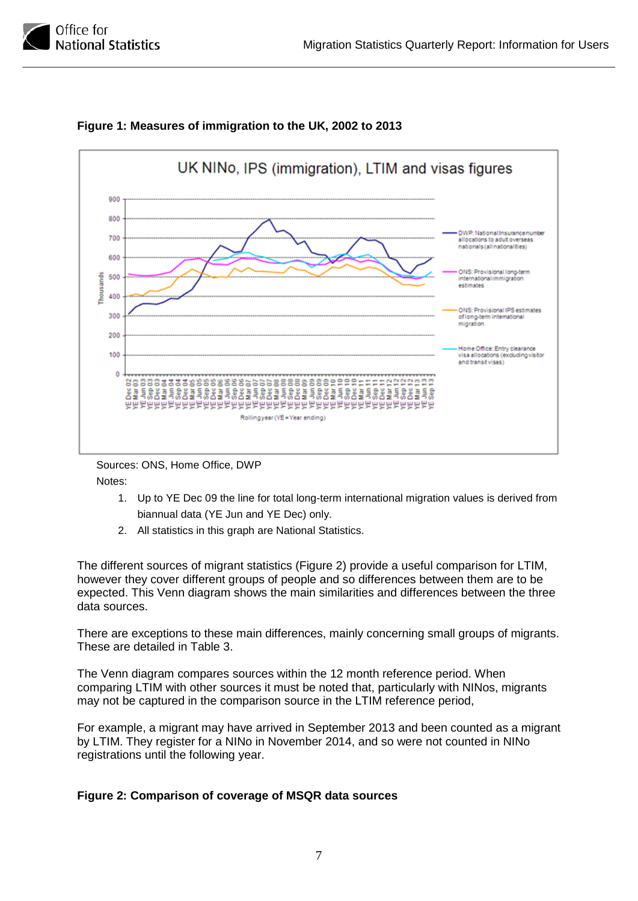



## **Figure 1: Measures of immigration to the UK, 2002 to 2013**

Sources: ONS, Home Office, DWP Notes:

- 1. Up to YE Dec 09 the line for total long-term international migration values is derived from biannual data (YE Jun and YE Dec) only.
- 2. All statistics in this graph are National Statistics.

The different sources of migrant statistics (Figure 2) provide a useful comparison for LTIM, however they cover different groups of people and so differences between them are to be expected. This Venn diagram shows the main similarities and differences between the three data sources.

There are exceptions to these main differences, mainly concerning small groups of migrants. These are detailed in Table 3.

The Venn diagram compares sources within the 12 month reference period. When comparing LTIM with other sources it must be noted that, particularly with NINos, migrants may not be captured in the comparison source in the LTIM reference period,

For example, a migrant may have arrived in September 2013 and been counted as a migrant by LTIM. They register for a NINo in November 2014, and so were not counted in NINo registrations until the following year.

## **Figure 2: Comparison of coverage of MSQR data sources**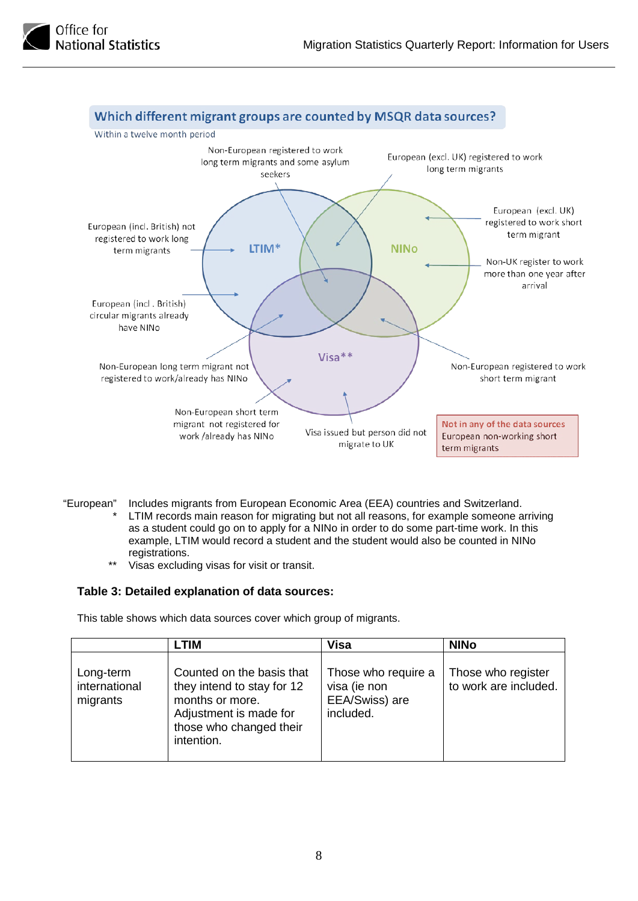



- "European" Includes migrants from European Economic Area (EEA) countries and Switzerland. LTIM records main reason for migrating but not all reasons, for example someone arriving as a student could go on to apply for a NINo in order to do some part-time work. In this example, LTIM would record a student and the student would also be counted in NINo registrations.
	- \*\* Visas excluding visas for visit or transit.

#### **Table 3: Detailed explanation of data sources:**

This table shows which data sources cover which group of migrants.

|                                        | <b>LTIM</b>                                                                                                                                   | <b>Visa</b>                                                        | <b>NINO</b>                                 |
|----------------------------------------|-----------------------------------------------------------------------------------------------------------------------------------------------|--------------------------------------------------------------------|---------------------------------------------|
| Long-term<br>international<br>migrants | Counted on the basis that<br>they intend to stay for 12<br>months or more.<br>Adjustment is made for<br>those who changed their<br>intention. | Those who require a<br>visa (ie non<br>EEA/Swiss) are<br>included. | Those who register<br>to work are included. |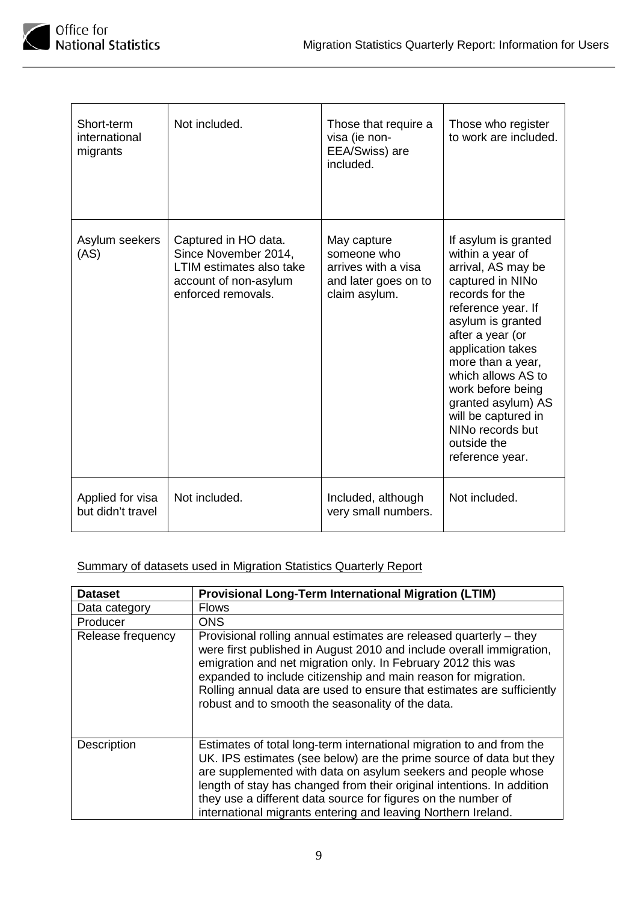

| Short-term<br>international<br>migrants | Not included.                                                                                                           | Those that require a<br>visa (ie non-<br>EEA/Swiss) are<br>included.                       | Those who register<br>to work are included.                                                                                                                                                                                                                                                                                                                  |
|-----------------------------------------|-------------------------------------------------------------------------------------------------------------------------|--------------------------------------------------------------------------------------------|--------------------------------------------------------------------------------------------------------------------------------------------------------------------------------------------------------------------------------------------------------------------------------------------------------------------------------------------------------------|
| Asylum seekers<br>(AS)                  | Captured in HO data.<br>Since November 2014,<br>LTIM estimates also take<br>account of non-asylum<br>enforced removals. | May capture<br>someone who<br>arrives with a visa<br>and later goes on to<br>claim asylum. | If asylum is granted<br>within a year of<br>arrival, AS may be<br>captured in NINo<br>records for the<br>reference year. If<br>asylum is granted<br>after a year (or<br>application takes<br>more than a year,<br>which allows AS to<br>work before being<br>granted asylum) AS<br>will be captured in<br>NINo records but<br>outside the<br>reference year. |
| Applied for visa<br>but didn't travel   | Not included.                                                                                                           | Included, although<br>very small numbers.                                                  | Not included.                                                                                                                                                                                                                                                                                                                                                |

## Summary of datasets used in Migration Statistics Quarterly Report

| <b>Dataset</b>    | <b>Provisional Long-Term International Migration (LTIM)</b>                                                                                                                                                                                                                                                                                                                                                              |
|-------------------|--------------------------------------------------------------------------------------------------------------------------------------------------------------------------------------------------------------------------------------------------------------------------------------------------------------------------------------------------------------------------------------------------------------------------|
| Data category     | <b>Flows</b>                                                                                                                                                                                                                                                                                                                                                                                                             |
| Producer          | <b>ONS</b>                                                                                                                                                                                                                                                                                                                                                                                                               |
| Release frequency | Provisional rolling annual estimates are released quarterly – they<br>were first published in August 2010 and include overall immigration,<br>emigration and net migration only. In February 2012 this was<br>expanded to include citizenship and main reason for migration.<br>Rolling annual data are used to ensure that estimates are sufficiently<br>robust and to smooth the seasonality of the data.              |
| Description       | Estimates of total long-term international migration to and from the<br>UK. IPS estimates (see below) are the prime source of data but they<br>are supplemented with data on asylum seekers and people whose<br>length of stay has changed from their original intentions. In addition<br>they use a different data source for figures on the number of<br>international migrants entering and leaving Northern Ireland. |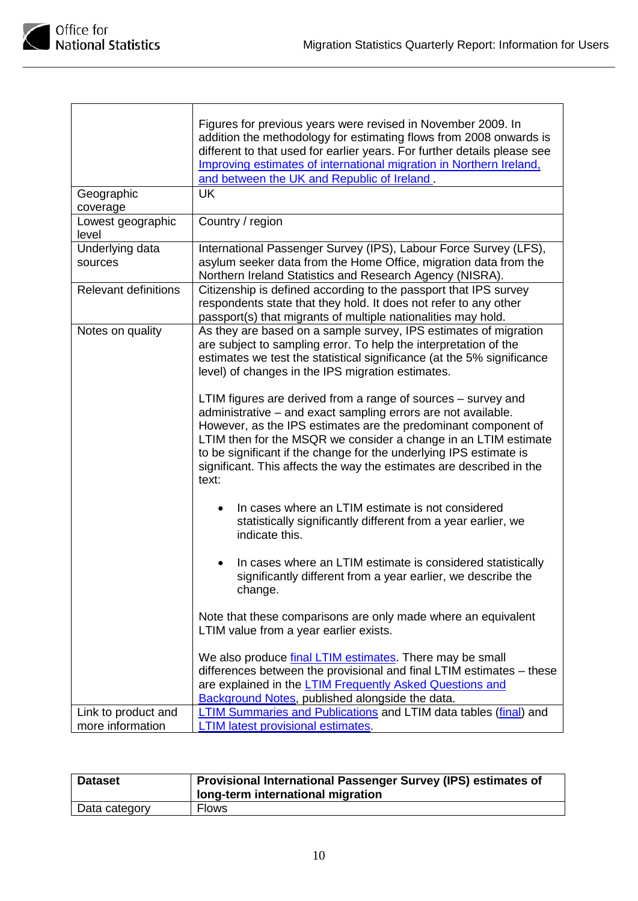

| Geographic<br>coverage                  | Figures for previous years were revised in November 2009. In<br>addition the methodology for estimating flows from 2008 onwards is<br>different to that used for earlier years. For further details please see<br>Improving estimates of international migration in Northern Ireland,<br>and between the UK and Republic of Ireland.<br><b>UK</b>                                                                          |
|-----------------------------------------|----------------------------------------------------------------------------------------------------------------------------------------------------------------------------------------------------------------------------------------------------------------------------------------------------------------------------------------------------------------------------------------------------------------------------|
| Lowest geographic<br>level              | Country / region                                                                                                                                                                                                                                                                                                                                                                                                           |
| Underlying data<br>sources              | International Passenger Survey (IPS), Labour Force Survey (LFS),<br>asylum seeker data from the Home Office, migration data from the<br>Northern Ireland Statistics and Research Agency (NISRA).                                                                                                                                                                                                                           |
| <b>Relevant definitions</b>             | Citizenship is defined according to the passport that IPS survey<br>respondents state that they hold. It does not refer to any other<br>passport(s) that migrants of multiple nationalities may hold.                                                                                                                                                                                                                      |
| Notes on quality                        | As they are based on a sample survey, IPS estimates of migration<br>are subject to sampling error. To help the interpretation of the<br>estimates we test the statistical significance (at the 5% significance<br>level) of changes in the IPS migration estimates.                                                                                                                                                        |
|                                         | LTIM figures are derived from a range of sources – survey and<br>administrative - and exact sampling errors are not available.<br>However, as the IPS estimates are the predominant component of<br>LTIM then for the MSQR we consider a change in an LTIM estimate<br>to be significant if the change for the underlying IPS estimate is<br>significant. This affects the way the estimates are described in the<br>text: |
|                                         | In cases where an LTIM estimate is not considered<br>statistically significantly different from a year earlier, we<br>indicate this.                                                                                                                                                                                                                                                                                       |
|                                         | In cases where an LTIM estimate is considered statistically<br>significantly different from a year earlier, we describe the<br>change.                                                                                                                                                                                                                                                                                     |
|                                         | Note that these comparisons are only made where an equivalent<br>LTIM value from a year earlier exists.                                                                                                                                                                                                                                                                                                                    |
|                                         | We also produce final LTIM estimates. There may be small<br>differences between the provisional and final LTIM estimates - these<br>are explained in the <b>LTIM Frequently Asked Questions and</b><br><b>Background Notes, published alongside the data.</b>                                                                                                                                                              |
| Link to product and<br>more information | LTIM Summaries and Publications and LTIM data tables (final) and<br><b>LTIM latest provisional estimates.</b>                                                                                                                                                                                                                                                                                                              |

| <b>Dataset</b> | Provisional International Passenger Survey (IPS) estimates of<br>long-term international migration |
|----------------|----------------------------------------------------------------------------------------------------|
| Data category  | <b>Flows</b>                                                                                       |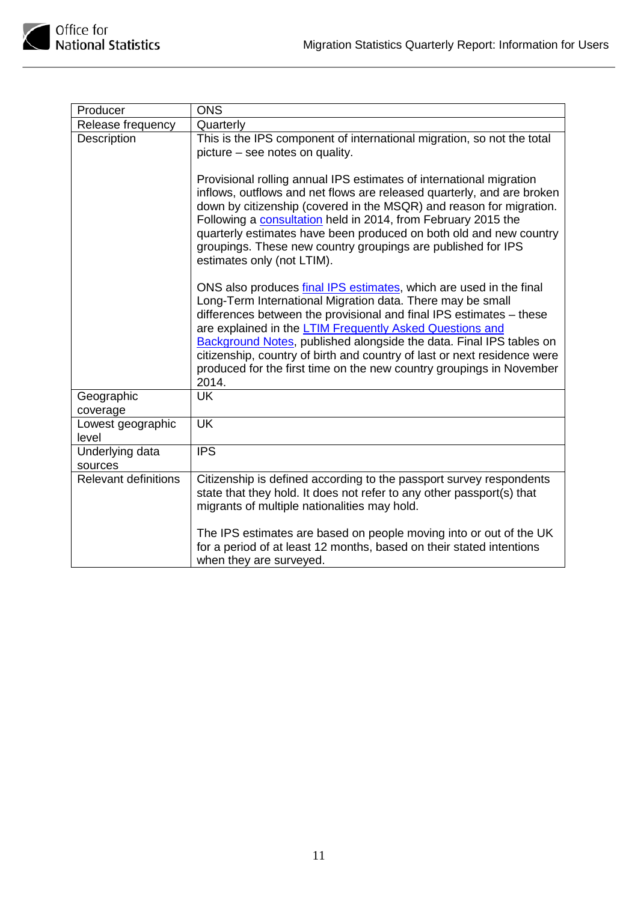

| Producer                    | <b>ONS</b>                                                                                                                                                                                                                                                                                                                                                                                                                                                                                                            |
|-----------------------------|-----------------------------------------------------------------------------------------------------------------------------------------------------------------------------------------------------------------------------------------------------------------------------------------------------------------------------------------------------------------------------------------------------------------------------------------------------------------------------------------------------------------------|
| Release frequency           | Quarterly                                                                                                                                                                                                                                                                                                                                                                                                                                                                                                             |
| Description                 | This is the IPS component of international migration, so not the total<br>picture - see notes on quality.                                                                                                                                                                                                                                                                                                                                                                                                             |
|                             | Provisional rolling annual IPS estimates of international migration<br>inflows, outflows and net flows are released quarterly, and are broken<br>down by citizenship (covered in the MSQR) and reason for migration.<br>Following a consultation held in 2014, from February 2015 the<br>quarterly estimates have been produced on both old and new country<br>groupings. These new country groupings are published for IPS<br>estimates only (not LTIM).                                                             |
|                             | ONS also produces <i>final IPS</i> estimates, which are used in the final<br>Long-Term International Migration data. There may be small<br>differences between the provisional and final IPS estimates - these<br>are explained in the <b>LTIM Frequently Asked Questions and</b><br>Background Notes, published alongside the data. Final IPS tables on<br>citizenship, country of birth and country of last or next residence were<br>produced for the first time on the new country groupings in November<br>2014. |
| Geographic<br>coverage      | <b>UK</b>                                                                                                                                                                                                                                                                                                                                                                                                                                                                                                             |
| Lowest geographic<br>level  | <b>UK</b>                                                                                                                                                                                                                                                                                                                                                                                                                                                                                                             |
| Underlying data<br>sources  | <b>IPS</b>                                                                                                                                                                                                                                                                                                                                                                                                                                                                                                            |
| <b>Relevant definitions</b> | Citizenship is defined according to the passport survey respondents<br>state that they hold. It does not refer to any other passport(s) that<br>migrants of multiple nationalities may hold.                                                                                                                                                                                                                                                                                                                          |
|                             | The IPS estimates are based on people moving into or out of the UK<br>for a period of at least 12 months, based on their stated intentions<br>when they are surveyed.                                                                                                                                                                                                                                                                                                                                                 |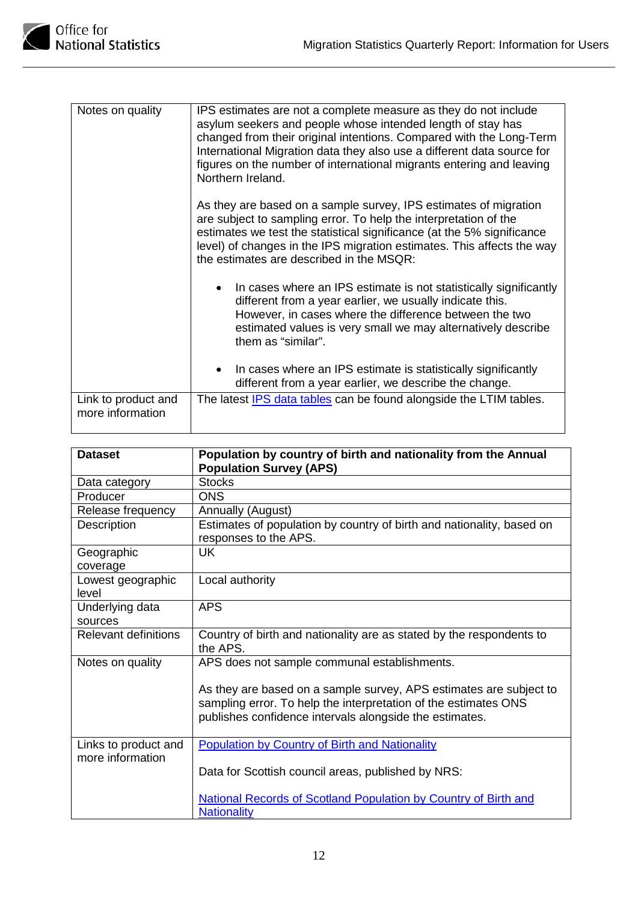| Notes on quality                        | IPS estimates are not a complete measure as they do not include<br>asylum seekers and people whose intended length of stay has<br>changed from their original intentions. Compared with the Long-Term<br>International Migration data they also use a different data source for<br>figures on the number of international migrants entering and leaving<br>Northern Ireland. |
|-----------------------------------------|------------------------------------------------------------------------------------------------------------------------------------------------------------------------------------------------------------------------------------------------------------------------------------------------------------------------------------------------------------------------------|
|                                         | As they are based on a sample survey, IPS estimates of migration<br>are subject to sampling error. To help the interpretation of the<br>estimates we test the statistical significance (at the 5% significance<br>level) of changes in the IPS migration estimates. This affects the way<br>the estimates are described in the MSQR:                                         |
|                                         | In cases where an IPS estimate is not statistically significantly<br>$\bullet$<br>different from a year earlier, we usually indicate this.<br>However, in cases where the difference between the two<br>estimated values is very small we may alternatively describe<br>them as "similar".                                                                                   |
|                                         | In cases where an IPS estimate is statistically significantly<br>different from a year earlier, we describe the change.                                                                                                                                                                                                                                                      |
| Link to product and<br>more information | The latest <b>IPS</b> data tables can be found alongside the LTIM tables.                                                                                                                                                                                                                                                                                                    |

| <b>Dataset</b>                           | Population by country of birth and nationality from the Annual<br><b>Population Survey (APS)</b>                                                                                                 |
|------------------------------------------|--------------------------------------------------------------------------------------------------------------------------------------------------------------------------------------------------|
| Data category                            | <b>Stocks</b>                                                                                                                                                                                    |
| Producer                                 | <b>ONS</b>                                                                                                                                                                                       |
| Release frequency                        | Annually (August)                                                                                                                                                                                |
| Description                              | Estimates of population by country of birth and nationality, based on<br>responses to the APS.                                                                                                   |
| Geographic<br>coverage                   | UK                                                                                                                                                                                               |
| Lowest geographic<br>level               | Local authority                                                                                                                                                                                  |
| Underlying data<br>sources               | <b>APS</b>                                                                                                                                                                                       |
| <b>Relevant definitions</b>              | Country of birth and nationality are as stated by the respondents to<br>the APS.                                                                                                                 |
| Notes on quality                         | APS does not sample communal establishments.                                                                                                                                                     |
|                                          | As they are based on a sample survey, APS estimates are subject to<br>sampling error. To help the interpretation of the estimates ONS<br>publishes confidence intervals alongside the estimates. |
| Links to product and<br>more information | <b>Population by Country of Birth and Nationality</b>                                                                                                                                            |
|                                          | Data for Scottish council areas, published by NRS:                                                                                                                                               |
|                                          | <b>National Records of Scotland Population by Country of Birth and</b><br><b>Nationality</b>                                                                                                     |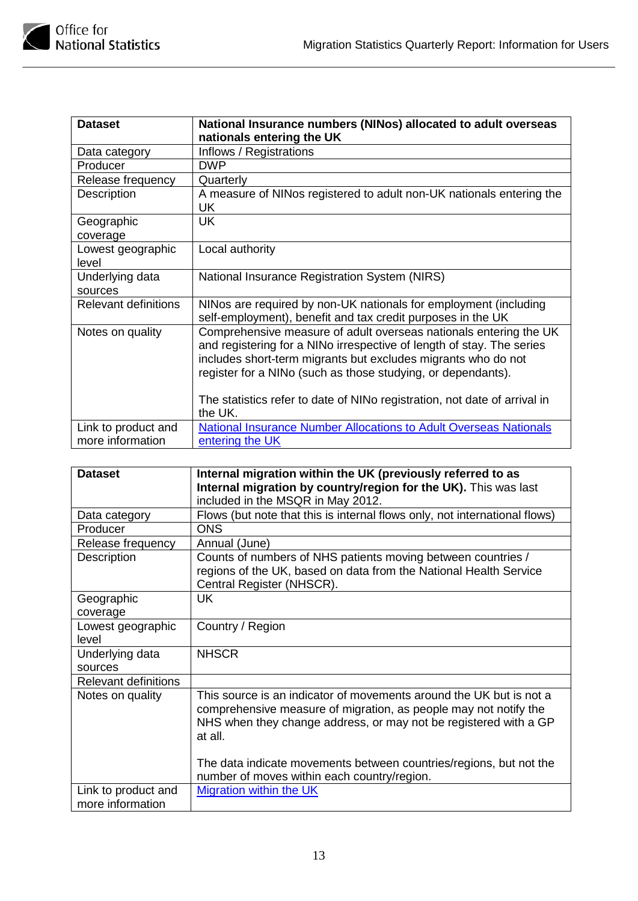

| <b>Dataset</b>                          | National Insurance numbers (NINos) allocated to adult overseas<br>nationals entering the UK                                                                                                                                                                                                                                                                         |
|-----------------------------------------|---------------------------------------------------------------------------------------------------------------------------------------------------------------------------------------------------------------------------------------------------------------------------------------------------------------------------------------------------------------------|
| Data category                           | Inflows / Registrations                                                                                                                                                                                                                                                                                                                                             |
| Producer                                | <b>DWP</b>                                                                                                                                                                                                                                                                                                                                                          |
| Release frequency                       | Quarterly                                                                                                                                                                                                                                                                                                                                                           |
| Description                             | A measure of NINos registered to adult non-UK nationals entering the<br>UK.                                                                                                                                                                                                                                                                                         |
| Geographic<br>coverage                  | UK                                                                                                                                                                                                                                                                                                                                                                  |
| Lowest geographic<br>level              | Local authority                                                                                                                                                                                                                                                                                                                                                     |
| Underlying data<br>sources              | National Insurance Registration System (NIRS)                                                                                                                                                                                                                                                                                                                       |
| <b>Relevant definitions</b>             | NINos are required by non-UK nationals for employment (including<br>self-employment), benefit and tax credit purposes in the UK                                                                                                                                                                                                                                     |
| Notes on quality                        | Comprehensive measure of adult overseas nationals entering the UK<br>and registering for a NINo irrespective of length of stay. The series<br>includes short-term migrants but excludes migrants who do not<br>register for a NINo (such as those studying, or dependants).<br>The statistics refer to date of NINo registration, not date of arrival in<br>the UK. |
| Link to product and<br>more information | <b>National Insurance Number Allocations to Adult Overseas Nationals</b><br>entering the UK                                                                                                                                                                                                                                                                         |

| <b>Dataset</b>                          | Internal migration within the UK (previously referred to as                                                                                                                                                            |
|-----------------------------------------|------------------------------------------------------------------------------------------------------------------------------------------------------------------------------------------------------------------------|
|                                         | Internal migration by country/region for the UK). This was last                                                                                                                                                        |
|                                         | included in the MSQR in May 2012.                                                                                                                                                                                      |
| Data category                           | Flows (but note that this is internal flows only, not international flows)                                                                                                                                             |
| Producer                                | <b>ONS</b>                                                                                                                                                                                                             |
| Release frequency                       | Annual (June)                                                                                                                                                                                                          |
| Description                             | Counts of numbers of NHS patients moving between countries /<br>regions of the UK, based on data from the National Health Service<br>Central Register (NHSCR).                                                         |
| Geographic                              | <b>UK</b>                                                                                                                                                                                                              |
| coverage                                |                                                                                                                                                                                                                        |
| Lowest geographic                       | Country / Region                                                                                                                                                                                                       |
| level                                   |                                                                                                                                                                                                                        |
| Underlying data                         | <b>NHSCR</b>                                                                                                                                                                                                           |
| sources                                 |                                                                                                                                                                                                                        |
| <b>Relevant definitions</b>             |                                                                                                                                                                                                                        |
| Notes on quality                        | This source is an indicator of movements around the UK but is not a<br>comprehensive measure of migration, as people may not notify the<br>NHS when they change address, or may not be registered with a GP<br>at all. |
|                                         | The data indicate movements between countries/regions, but not the<br>number of moves within each country/region.                                                                                                      |
| Link to product and<br>more information | <b>Migration within the UK</b>                                                                                                                                                                                         |